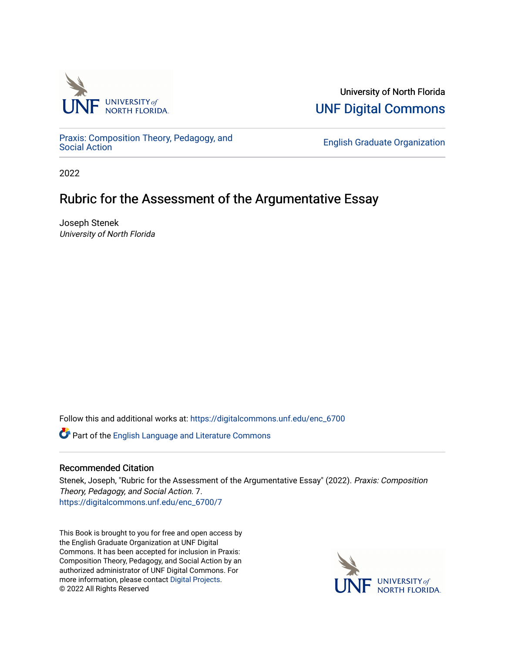

University of North Florida [UNF Digital Commons](https://digitalcommons.unf.edu/) 

[Praxis: Composition Theory, Pedagogy, and](https://digitalcommons.unf.edu/enc_6700)

**English Graduate Organization** 

2022

### Rubric for the Assessment of the Argumentative Essay

Joseph Stenek University of North Florida

Follow this and additional works at: [https://digitalcommons.unf.edu/enc\\_6700](https://digitalcommons.unf.edu/enc_6700?utm_source=digitalcommons.unf.edu%2Fenc_6700%2F7&utm_medium=PDF&utm_campaign=PDFCoverPages) 

Part of the [English Language and Literature Commons](http://network.bepress.com/hgg/discipline/455?utm_source=digitalcommons.unf.edu%2Fenc_6700%2F7&utm_medium=PDF&utm_campaign=PDFCoverPages)

#### Recommended Citation

Stenek, Joseph, "Rubric for the Assessment of the Argumentative Essay" (2022). Praxis: Composition Theory, Pedagogy, and Social Action. 7. [https://digitalcommons.unf.edu/enc\\_6700/7](https://digitalcommons.unf.edu/enc_6700/7?utm_source=digitalcommons.unf.edu%2Fenc_6700%2F7&utm_medium=PDF&utm_campaign=PDFCoverPages) 

This Book is brought to you for free and open access by the English Graduate Organization at UNF Digital Commons. It has been accepted for inclusion in Praxis: Composition Theory, Pedagogy, and Social Action by an authorized administrator of UNF Digital Commons. For more information, please contact [Digital Projects](mailto:lib-digital@unf.edu). © 2022 All Rights Reserved